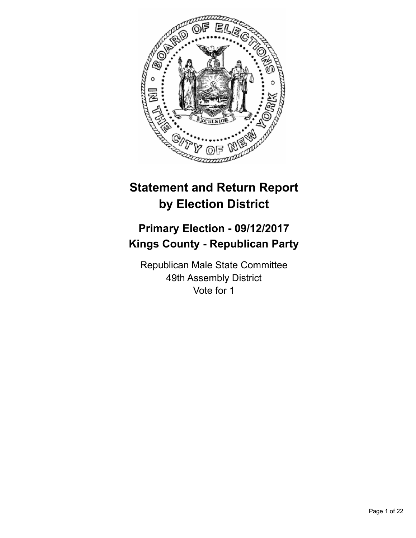

# **Statement and Return Report by Election District**

# **Primary Election - 09/12/2017 Kings County - Republican Party**

Republican Male State Committee 49th Assembly District Vote for 1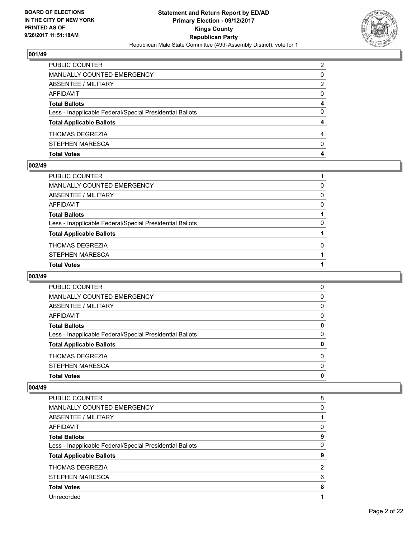

| STEPHEN MARESCA                                          | 0 |
|----------------------------------------------------------|---|
| <b>THOMAS DEGREZIA</b>                                   | 4 |
| <b>Total Applicable Ballots</b>                          |   |
| Less - Inapplicable Federal/Special Presidential Ballots | 0 |
| <b>Total Ballots</b>                                     | 4 |
| AFFIDAVIT                                                | 0 |
| ABSENTEE / MILITARY                                      | 2 |
| MANUALLY COUNTED EMERGENCY                               | 0 |
| PUBLIC COUNTER                                           | 2 |

## **002/49**

| PUBLIC COUNTER                                           |          |
|----------------------------------------------------------|----------|
| MANUALLY COUNTED EMERGENCY                               | 0        |
| ABSENTEE / MILITARY                                      | $\Omega$ |
| AFFIDAVIT                                                | 0        |
| Total Ballots                                            |          |
| Less - Inapplicable Federal/Special Presidential Ballots | 0        |
| <b>Total Applicable Ballots</b>                          |          |
| THOMAS DEGREZIA                                          | $\Omega$ |
| STEPHEN MARESCA                                          |          |
| <b>Total Votes</b>                                       |          |
|                                                          |          |

# **003/49**

| <b>Total Votes</b>                                       | 0        |
|----------------------------------------------------------|----------|
| STEPHEN MARESCA                                          | $\Omega$ |
| <b>THOMAS DEGREZIA</b>                                   | $\Omega$ |
| <b>Total Applicable Ballots</b>                          | 0        |
| Less - Inapplicable Federal/Special Presidential Ballots | 0        |
| <b>Total Ballots</b>                                     | 0        |
| AFFIDAVIT                                                | 0        |
| ABSENTEE / MILITARY                                      | 0        |
| MANUALLY COUNTED EMERGENCY                               | 0        |
| <b>PUBLIC COUNTER</b>                                    | 0        |

| PUBLIC COUNTER                                           | 8 |
|----------------------------------------------------------|---|
| MANUALLY COUNTED EMERGENCY                               | 0 |
| ABSENTEE / MILITARY                                      |   |
| AFFIDAVIT                                                | 0 |
| <b>Total Ballots</b>                                     | 9 |
| Less - Inapplicable Federal/Special Presidential Ballots | 0 |
| <b>Total Applicable Ballots</b>                          | 9 |
| THOMAS DEGREZIA                                          | 2 |
| <b>STEPHEN MARESCA</b>                                   | 6 |
| <b>Total Votes</b>                                       | 8 |
| Unrecorded                                               |   |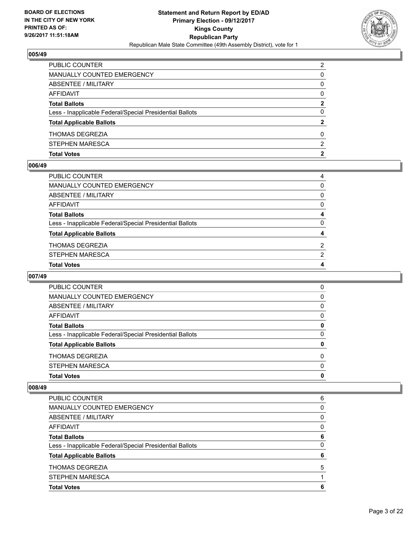

| PUBLIC COUNTER                                           | 2 |
|----------------------------------------------------------|---|
| MANUALLY COUNTED EMERGENCY                               | 0 |
| ABSENTEE / MILITARY                                      | 0 |
| AFFIDAVIT                                                | 0 |
| <b>Total Ballots</b>                                     | 2 |
| Less - Inapplicable Federal/Special Presidential Ballots | 0 |
| <b>Total Applicable Ballots</b>                          | 2 |
| <b>THOMAS DEGREZIA</b>                                   | 0 |
| STEPHEN MARESCA                                          | 2 |
| <b>Total Votes</b>                                       | 2 |

## **006/49**

| PUBLIC COUNTER                                           | 4              |
|----------------------------------------------------------|----------------|
| MANUALLY COUNTED EMERGENCY                               | $\Omega$       |
| ABSENTEE / MILITARY                                      | $\mathbf{0}$   |
| AFFIDAVIT                                                | $\mathbf{0}$   |
| <b>Total Ballots</b>                                     | 4              |
| Less - Inapplicable Federal/Special Presidential Ballots | $\mathbf{0}$   |
| <b>Total Applicable Ballots</b>                          | 4              |
| THOMAS DEGREZIA                                          | $\overline{2}$ |
| STEPHEN MARESCA                                          | 2              |
| <b>Total Votes</b>                                       | 4              |
|                                                          |                |

## **007/49**

| <b>Total Votes</b>                                       | 0        |
|----------------------------------------------------------|----------|
| STEPHEN MARESCA                                          | $\Omega$ |
| <b>THOMAS DEGREZIA</b>                                   | $\Omega$ |
| <b>Total Applicable Ballots</b>                          | 0        |
| Less - Inapplicable Federal/Special Presidential Ballots | 0        |
| <b>Total Ballots</b>                                     | 0        |
| AFFIDAVIT                                                | 0        |
| ABSENTEE / MILITARY                                      | 0        |
| MANUALLY COUNTED EMERGENCY                               | 0        |
| <b>PUBLIC COUNTER</b>                                    | 0        |

| <b>Total Votes</b>                                       | 6 |
|----------------------------------------------------------|---|
| <b>STEPHEN MARESCA</b>                                   |   |
| <b>THOMAS DEGREZIA</b>                                   | 5 |
| <b>Total Applicable Ballots</b>                          | 6 |
| Less - Inapplicable Federal/Special Presidential Ballots | 0 |
| <b>Total Ballots</b>                                     | 6 |
| AFFIDAVIT                                                | 0 |
| ABSENTEE / MILITARY                                      | 0 |
| <b>MANUALLY COUNTED EMERGENCY</b>                        | 0 |
| PUBLIC COUNTER                                           | 6 |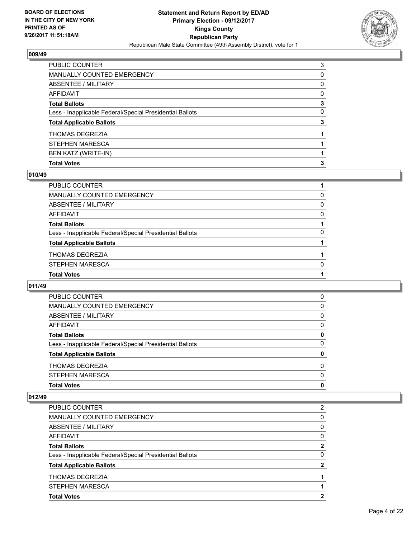

| <b>Total Votes</b>                                       | 3 |
|----------------------------------------------------------|---|
| BEN KATZ (WRITE-IN)                                      |   |
| STEPHEN MARESCA                                          |   |
| <b>THOMAS DEGREZIA</b>                                   |   |
| <b>Total Applicable Ballots</b>                          | 3 |
| Less - Inapplicable Federal/Special Presidential Ballots | 0 |
| <b>Total Ballots</b>                                     | 3 |
| <b>AFFIDAVIT</b>                                         | 0 |
| ABSENTEE / MILITARY                                      | 0 |
| <b>MANUALLY COUNTED EMERGENCY</b>                        | 0 |
| PUBLIC COUNTER                                           | 3 |

## **010/49**

| PUBLIC COUNTER                                           |   |
|----------------------------------------------------------|---|
| MANUALLY COUNTED EMERGENCY                               | 0 |
| ABSENTEE / MILITARY                                      | 0 |
| AFFIDAVIT                                                | 0 |
| Total Ballots                                            |   |
| Less - Inapplicable Federal/Special Presidential Ballots | 0 |
| <b>Total Applicable Ballots</b>                          |   |
| THOMAS DEGREZIA                                          |   |
| STEPHEN MARESCA                                          | 0 |
| <b>Total Votes</b>                                       |   |
|                                                          |   |

## **011/49**

| <b>Total Votes</b>                                       | 0        |
|----------------------------------------------------------|----------|
| STEPHEN MARESCA                                          | 0        |
| <b>THOMAS DEGREZIA</b>                                   | $\Omega$ |
| <b>Total Applicable Ballots</b>                          | 0        |
| Less - Inapplicable Federal/Special Presidential Ballots | 0        |
| <b>Total Ballots</b>                                     | 0        |
| AFFIDAVIT                                                | 0        |
| ABSENTEE / MILITARY                                      | 0        |
| MANUALLY COUNTED EMERGENCY                               | 0        |
| <b>PUBLIC COUNTER</b>                                    | 0        |

| <b>Total Votes</b>                                       | 2 |
|----------------------------------------------------------|---|
| STEPHEN MARESCA                                          |   |
| <b>THOMAS DEGREZIA</b>                                   |   |
| <b>Total Applicable Ballots</b>                          | 2 |
| Less - Inapplicable Federal/Special Presidential Ballots | 0 |
| <b>Total Ballots</b>                                     | 2 |
| AFFIDAVIT                                                | 0 |
| ABSENTEE / MILITARY                                      | 0 |
| <b>MANUALLY COUNTED EMERGENCY</b>                        | 0 |
| PUBLIC COUNTER                                           | 2 |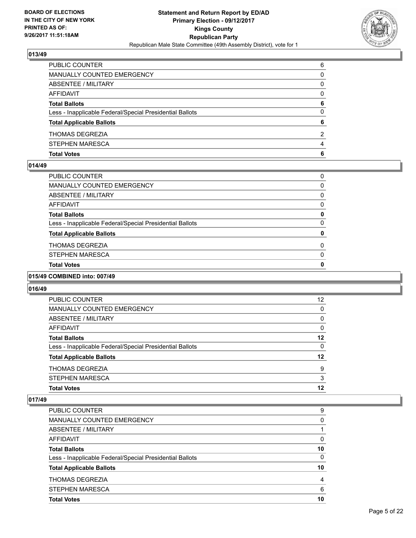

| <b>Total Votes</b>                                       | 6 |
|----------------------------------------------------------|---|
| STEPHEN MARESCA                                          | 4 |
| <b>THOMAS DEGREZIA</b>                                   | 2 |
| <b>Total Applicable Ballots</b>                          | 6 |
| Less - Inapplicable Federal/Special Presidential Ballots | 0 |
| <b>Total Ballots</b>                                     | 6 |
| <b>AFFIDAVIT</b>                                         | 0 |
| ABSENTEE / MILITARY                                      | 0 |
| MANUALLY COUNTED EMERGENCY                               | 0 |
| PUBLIC COUNTER                                           | 6 |

## **014/49**

| PUBLIC COUNTER                                           | 0            |
|----------------------------------------------------------|--------------|
| MANUALLY COUNTED EMERGENCY                               | 0            |
| ABSENTEE / MILITARY                                      | 0            |
| AFFIDAVIT                                                | 0            |
| Total Ballots                                            | 0            |
| Less - Inapplicable Federal/Special Presidential Ballots | 0            |
| <b>Total Applicable Ballots</b>                          | 0            |
| THOMAS DEGREZIA                                          | 0            |
| STEPHEN MARESCA                                          | 0            |
| <b>Total Votes</b>                                       | $\mathbf{0}$ |
|                                                          |              |

# **015/49 COMBINED into: 007/49**

# **016/49**

| <b>Total Votes</b>                                       | 12 |
|----------------------------------------------------------|----|
|                                                          |    |
| <b>STEPHEN MARESCA</b>                                   | 3  |
| <b>THOMAS DEGREZIA</b>                                   | 9  |
| <b>Total Applicable Ballots</b>                          | 12 |
| Less - Inapplicable Federal/Special Presidential Ballots | 0  |
| <b>Total Ballots</b>                                     | 12 |
| AFFIDAVIT                                                | 0  |
| ABSENTEE / MILITARY                                      | 0  |
| <b>MANUALLY COUNTED EMERGENCY</b>                        | 0  |
| PUBLIC COUNTER                                           | 12 |

| PUBLIC COUNTER                                           | 9  |
|----------------------------------------------------------|----|
| <b>MANUALLY COUNTED EMERGENCY</b>                        | 0  |
| ABSENTEE / MILITARY                                      |    |
| AFFIDAVIT                                                | 0  |
| <b>Total Ballots</b>                                     | 10 |
| Less - Inapplicable Federal/Special Presidential Ballots | 0  |
| <b>Total Applicable Ballots</b>                          | 10 |
| <b>THOMAS DEGREZIA</b>                                   | 4  |
| <b>STEPHEN MARESCA</b>                                   | 6  |
| <b>Total Votes</b>                                       | 10 |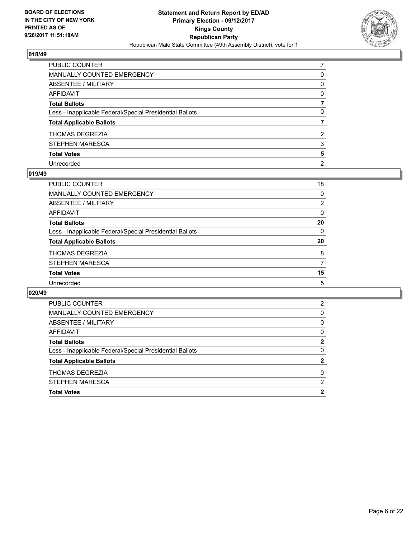

| PUBLIC COUNTER                                           |                |
|----------------------------------------------------------|----------------|
| <b>MANUALLY COUNTED EMERGENCY</b>                        | 0              |
| <b>ABSENTEE / MILITARY</b>                               | $\mathbf{0}$   |
| AFFIDAVIT                                                | 0              |
| <b>Total Ballots</b>                                     |                |
| Less - Inapplicable Federal/Special Presidential Ballots | 0              |
| <b>Total Applicable Ballots</b>                          |                |
| THOMAS DEGREZIA                                          | 2              |
| STEPHEN MARESCA                                          | 3              |
| <b>Total Votes</b>                                       | 5              |
| Unrecorded                                               | $\overline{2}$ |

## **019/49**

| <b>PUBLIC COUNTER</b>                                    | 18       |
|----------------------------------------------------------|----------|
| MANUALLY COUNTED EMERGENCY                               | 0        |
| ABSENTEE / MILITARY                                      | 2        |
| AFFIDAVIT                                                | $\Omega$ |
| <b>Total Ballots</b>                                     | 20       |
| Less - Inapplicable Federal/Special Presidential Ballots | $\Omega$ |
| <b>Total Applicable Ballots</b>                          | 20       |
| <b>THOMAS DEGREZIA</b>                                   | 8        |
| STEPHEN MARESCA                                          | 7        |
| <b>Total Votes</b>                                       | 15       |
| Unrecorded                                               | 5        |

| <b>Total Votes</b>                                       | 2            |
|----------------------------------------------------------|--------------|
| <b>STEPHEN MARESCA</b>                                   | 2            |
| <b>THOMAS DEGREZIA</b>                                   | $\Omega$     |
| <b>Total Applicable Ballots</b>                          | $\mathbf{2}$ |
| Less - Inapplicable Federal/Special Presidential Ballots | 0            |
| <b>Total Ballots</b>                                     | 2            |
| AFFIDAVIT                                                | 0            |
| ABSENTEE / MILITARY                                      | 0            |
| <b>MANUALLY COUNTED EMERGENCY</b>                        | 0            |
| PUBLIC COUNTER                                           | 2            |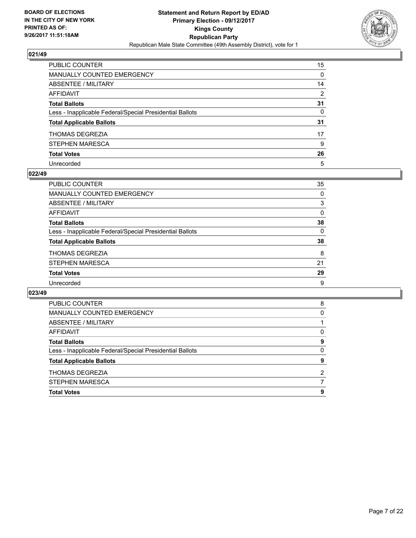

| PUBLIC COUNTER                                           | 15             |
|----------------------------------------------------------|----------------|
| <b>MANUALLY COUNTED EMERGENCY</b>                        | 0              |
| ABSENTEE / MILITARY                                      | 14             |
| <b>AFFIDAVIT</b>                                         | $\overline{2}$ |
| <b>Total Ballots</b>                                     | 31             |
| Less - Inapplicable Federal/Special Presidential Ballots | 0              |
| <b>Total Applicable Ballots</b>                          | 31             |
| THOMAS DEGREZIA                                          | 17             |
| STEPHEN MARESCA                                          | 9              |
| <b>Total Votes</b>                                       | 26             |
| Unrecorded                                               | 5              |

## **022/49**

| <b>PUBLIC COUNTER</b>                                    | 35       |
|----------------------------------------------------------|----------|
| <b>MANUALLY COUNTED EMERGENCY</b>                        | 0        |
| ABSENTEE / MILITARY                                      | 3        |
| AFFIDAVIT                                                | $\Omega$ |
| <b>Total Ballots</b>                                     | 38       |
| Less - Inapplicable Federal/Special Presidential Ballots | 0        |
| <b>Total Applicable Ballots</b>                          | 38       |
| <b>THOMAS DEGREZIA</b>                                   | 8        |
| STEPHEN MARESCA                                          | 21       |
| <b>Total Votes</b>                                       | 29       |
| Unrecorded                                               | 9        |

| <b>PUBLIC COUNTER</b>                                    | 8 |
|----------------------------------------------------------|---|
| MANUALLY COUNTED EMERGENCY                               | 0 |
| ABSENTEE / MILITARY                                      |   |
| AFFIDAVIT                                                | 0 |
| <b>Total Ballots</b>                                     | 9 |
| Less - Inapplicable Federal/Special Presidential Ballots | 0 |
| <b>Total Applicable Ballots</b>                          | 9 |
| <b>THOMAS DEGREZIA</b>                                   | 2 |
| <b>STEPHEN MARESCA</b>                                   |   |
| <b>Total Votes</b>                                       | 9 |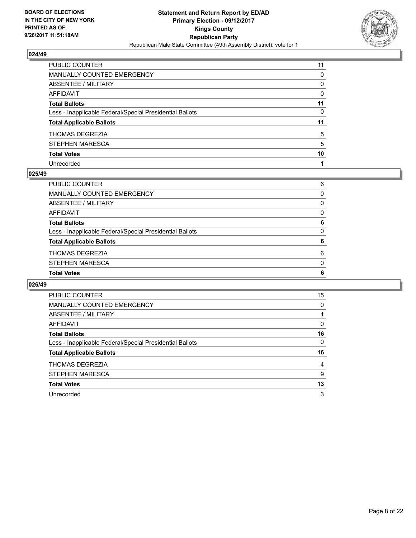

| PUBLIC COUNTER                                           | 11 |
|----------------------------------------------------------|----|
| <b>MANUALLY COUNTED EMERGENCY</b>                        | 0  |
| <b>ABSENTEE / MILITARY</b>                               | 0  |
| <b>AFFIDAVIT</b>                                         | 0  |
| <b>Total Ballots</b>                                     | 11 |
| Less - Inapplicable Federal/Special Presidential Ballots | 0  |
| <b>Total Applicable Ballots</b>                          | 11 |
| <b>THOMAS DEGREZIA</b>                                   | 5  |
| STEPHEN MARESCA                                          | 5  |
| <b>Total Votes</b>                                       | 10 |
| Unrecorded                                               |    |

## **025/49**

| <b>Total Votes</b>                                       | 6        |
|----------------------------------------------------------|----------|
|                                                          |          |
| <b>STEPHEN MARESCA</b>                                   | $\Omega$ |
| <b>THOMAS DEGREZIA</b>                                   | 6        |
| <b>Total Applicable Ballots</b>                          | 6        |
| Less - Inapplicable Federal/Special Presidential Ballots | 0        |
| <b>Total Ballots</b>                                     | 6        |
| AFFIDAVIT                                                | 0        |
| ABSENTEE / MILITARY                                      | 0        |
| <b>MANUALLY COUNTED EMERGENCY</b>                        | 0        |
| PUBLIC COUNTER                                           | 6        |
|                                                          |          |

| PUBLIC COUNTER                                           | 15 |
|----------------------------------------------------------|----|
| <b>MANUALLY COUNTED EMERGENCY</b>                        | 0  |
| ABSENTEE / MILITARY                                      |    |
| AFFIDAVIT                                                | 0  |
| <b>Total Ballots</b>                                     | 16 |
| Less - Inapplicable Federal/Special Presidential Ballots | 0  |
| <b>Total Applicable Ballots</b>                          | 16 |
| THOMAS DEGREZIA                                          | 4  |
| <b>STEPHEN MARESCA</b>                                   | 9  |
| <b>Total Votes</b>                                       | 13 |
|                                                          |    |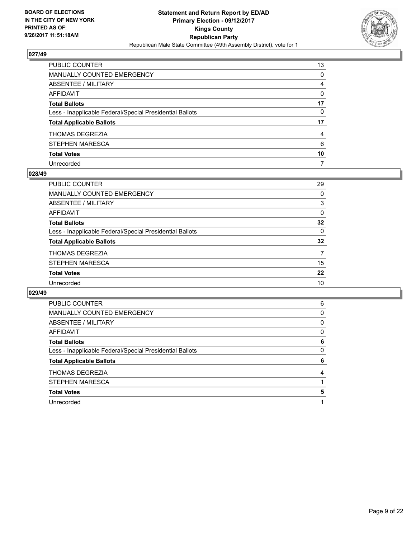

| PUBLIC COUNTER                                           | 13 |
|----------------------------------------------------------|----|
| <b>MANUALLY COUNTED EMERGENCY</b>                        | 0  |
| <b>ABSENTEE / MILITARY</b>                               | 4  |
| AFFIDAVIT                                                | 0  |
| <b>Total Ballots</b>                                     | 17 |
| Less - Inapplicable Federal/Special Presidential Ballots | 0  |
| <b>Total Applicable Ballots</b>                          | 17 |
| THOMAS DEGREZIA                                          | 4  |
| STEPHEN MARESCA                                          | 6  |
| <b>Total Votes</b>                                       | 10 |
| Unrecorded                                               | 7  |

## **028/49**

| 29       |
|----------|
| 0        |
| 3        |
| 0        |
| 32       |
| $\Omega$ |
| 32       |
| 7        |
| 15       |
| 22       |
| 10       |
|          |

| PUBLIC COUNTER                                           | 6 |
|----------------------------------------------------------|---|
| <b>MANUALLY COUNTED EMERGENCY</b>                        | 0 |
| <b>ABSENTEE / MILITARY</b>                               | 0 |
| <b>AFFIDAVIT</b>                                         | 0 |
| <b>Total Ballots</b>                                     | 6 |
| Less - Inapplicable Federal/Special Presidential Ballots | 0 |
|                                                          |   |
| <b>Total Applicable Ballots</b>                          | 6 |
| <b>THOMAS DEGREZIA</b>                                   | 4 |
| <b>STEPHEN MARESCA</b>                                   |   |
| <b>Total Votes</b>                                       | 5 |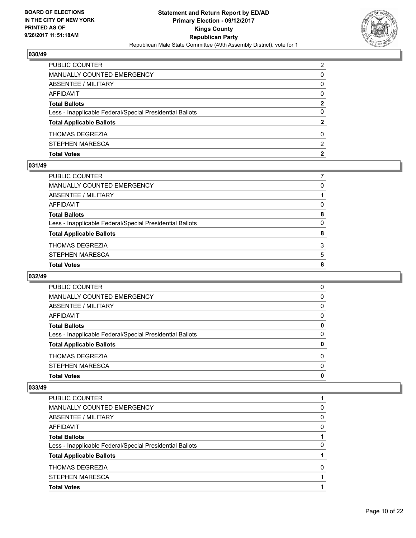

| PUBLIC COUNTER                                           | 2 |
|----------------------------------------------------------|---|
| MANUALLY COUNTED EMERGENCY                               | 0 |
| ABSENTEE / MILITARY                                      | 0 |
| AFFIDAVIT                                                | 0 |
| <b>Total Ballots</b>                                     | 2 |
| Less - Inapplicable Federal/Special Presidential Ballots | 0 |
| <b>Total Applicable Ballots</b>                          | 2 |
| <b>THOMAS DEGREZIA</b>                                   | 0 |
| STEPHEN MARESCA                                          | 2 |
| <b>Total Votes</b>                                       | 2 |

## **031/49**

| PUBLIC COUNTER                                           |              |
|----------------------------------------------------------|--------------|
| MANUALLY COUNTED EMERGENCY                               | 0            |
| ABSENTEE / MILITARY                                      |              |
| AFFIDAVIT                                                | 0            |
| Total Ballots                                            | 8            |
| Less - Inapplicable Federal/Special Presidential Ballots | $\mathbf{0}$ |
| <b>Total Applicable Ballots</b>                          | 8            |
| THOMAS DEGREZIA                                          | 3            |
| STEPHEN MARESCA                                          | 5            |
| <b>Total Votes</b>                                       | 8            |
|                                                          |              |

# **032/49**

| <b>Total Votes</b>                                       | 0        |
|----------------------------------------------------------|----------|
| <b>STEPHEN MARESCA</b>                                   | $\Omega$ |
| <b>THOMAS DEGREZIA</b>                                   | $\Omega$ |
| <b>Total Applicable Ballots</b>                          | 0        |
| Less - Inapplicable Federal/Special Presidential Ballots | $\Omega$ |
| <b>Total Ballots</b>                                     | 0        |
| AFFIDAVIT                                                | 0        |
| ABSENTEE / MILITARY                                      | 0        |
| <b>MANUALLY COUNTED EMERGENCY</b>                        | 0        |
| <b>PUBLIC COUNTER</b>                                    | 0        |

| PUBLIC COUNTER                                           |   |
|----------------------------------------------------------|---|
| <b>MANUALLY COUNTED EMERGENCY</b>                        | 0 |
| ABSENTEE / MILITARY                                      | 0 |
| AFFIDAVIT                                                | 0 |
| <b>Total Ballots</b>                                     |   |
| Less - Inapplicable Federal/Special Presidential Ballots | 0 |
| <b>Total Applicable Ballots</b>                          |   |
| <b>THOMAS DEGREZIA</b>                                   | 0 |
| STEPHEN MARESCA                                          |   |
| <b>Total Votes</b>                                       |   |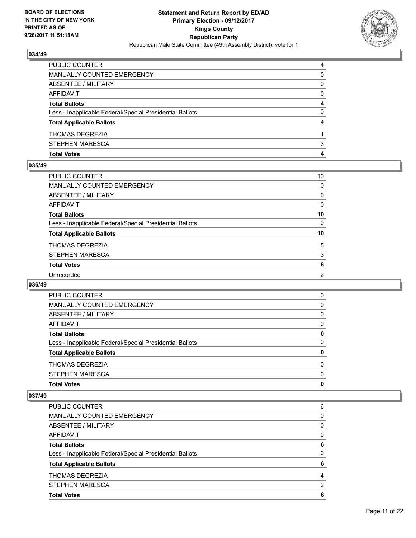

| <b>Total Votes</b>                                       | 4 |
|----------------------------------------------------------|---|
| STEPHEN MARESCA                                          | 3 |
| <b>THOMAS DEGREZIA</b>                                   |   |
| <b>Total Applicable Ballots</b>                          | 4 |
| Less - Inapplicable Federal/Special Presidential Ballots | 0 |
| <b>Total Ballots</b>                                     | 4 |
| AFFIDAVIT                                                | 0 |
| ABSENTEE / MILITARY                                      | 0 |
| MANUALLY COUNTED EMERGENCY                               | 0 |
| <b>PUBLIC COUNTER</b>                                    | 4 |

## **035/49**

| <b>PUBLIC COUNTER</b>                                    | 10       |
|----------------------------------------------------------|----------|
| <b>MANUALLY COUNTED EMERGENCY</b>                        | 0        |
| ABSENTEE / MILITARY                                      | 0        |
| <b>AFFIDAVIT</b>                                         | 0        |
| <b>Total Ballots</b>                                     | 10       |
| Less - Inapplicable Federal/Special Presidential Ballots | $\Omega$ |
| <b>Total Applicable Ballots</b>                          | 10       |
| THOMAS DEGREZIA                                          | 5        |
| <b>STEPHEN MARESCA</b>                                   | 3        |
| <b>Total Votes</b>                                       | 8        |
| Unrecorded                                               | 2        |
|                                                          |          |

# **036/49**

| PUBLIC COUNTER                                           | 0        |
|----------------------------------------------------------|----------|
| <b>MANUALLY COUNTED EMERGENCY</b>                        | 0        |
| ABSENTEE / MILITARY                                      | 0        |
| AFFIDAVIT                                                | $\Omega$ |
| <b>Total Ballots</b>                                     | 0        |
| Less - Inapplicable Federal/Special Presidential Ballots | $\Omega$ |
| <b>Total Applicable Ballots</b>                          | 0        |
| <b>THOMAS DEGREZIA</b>                                   | 0        |
| STEPHEN MARESCA                                          | $\Omega$ |
| <b>Total Votes</b>                                       | 0        |

| <b>PUBLIC COUNTER</b>                                    | 6 |
|----------------------------------------------------------|---|
| <b>MANUALLY COUNTED EMERGENCY</b>                        | 0 |
| ABSENTEE / MILITARY                                      | 0 |
| AFFIDAVIT                                                | 0 |
| <b>Total Ballots</b>                                     | 6 |
| Less - Inapplicable Federal/Special Presidential Ballots | 0 |
| <b>Total Applicable Ballots</b>                          | 6 |
| <b>THOMAS DEGREZIA</b>                                   | 4 |
| STEPHEN MARESCA                                          | 2 |
| <b>Total Votes</b>                                       | 6 |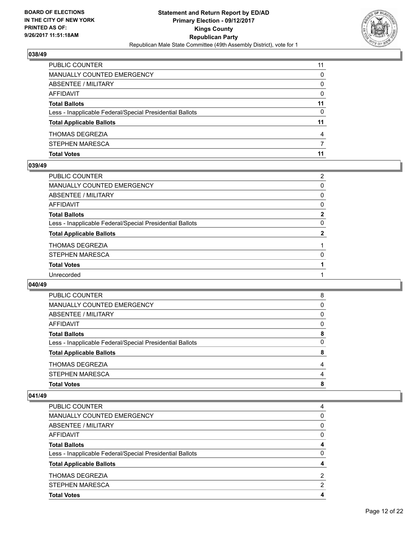

| <b>PUBLIC COUNTER</b>                                    | 11 |
|----------------------------------------------------------|----|
| MANUALLY COUNTED EMERGENCY                               | 0  |
| ABSENTEE / MILITARY                                      | 0  |
| AFFIDAVIT                                                | 0  |
| <b>Total Ballots</b>                                     | 11 |
| Less - Inapplicable Federal/Special Presidential Ballots | 0  |
| <b>Total Applicable Ballots</b>                          | 11 |
| <b>THOMAS DEGREZIA</b>                                   | 4  |
| STEPHEN MARESCA                                          |    |
| <b>Total Votes</b>                                       | 11 |

## **039/49**

| PUBLIC COUNTER                                           | $\overline{2}$ |
|----------------------------------------------------------|----------------|
| MANUALLY COUNTED EMERGENCY                               | 0              |
| <b>ABSENTEE / MILITARY</b>                               | 0              |
| AFFIDAVIT                                                | 0              |
| <b>Total Ballots</b>                                     | $\overline{2}$ |
| Less - Inapplicable Federal/Special Presidential Ballots | $\mathbf{0}$   |
| <b>Total Applicable Ballots</b>                          | $\mathbf{2}$   |
| THOMAS DEGREZIA                                          |                |
| STEPHEN MARESCA                                          | 0              |
| <b>Total Votes</b>                                       |                |
| Unrecorded                                               |                |
|                                                          |                |

# **040/49**

| <b>Total Votes</b>                                       | 8 |
|----------------------------------------------------------|---|
| STEPHEN MARESCA                                          | 4 |
| <b>THOMAS DEGREZIA</b>                                   | 4 |
| <b>Total Applicable Ballots</b>                          | 8 |
| Less - Inapplicable Federal/Special Presidential Ballots | 0 |
| <b>Total Ballots</b>                                     | 8 |
| AFFIDAVIT                                                | 0 |
| ABSENTEE / MILITARY                                      | 0 |
| <b>MANUALLY COUNTED EMERGENCY</b>                        | 0 |
| PUBLIC COUNTER                                           | 8 |

| PUBLIC COUNTER                                           | 4 |
|----------------------------------------------------------|---|
| <b>MANUALLY COUNTED EMERGENCY</b>                        | 0 |
| ABSENTEE / MILITARY                                      | 0 |
| AFFIDAVIT                                                | 0 |
| <b>Total Ballots</b>                                     | 4 |
| Less - Inapplicable Federal/Special Presidential Ballots | 0 |
| <b>Total Applicable Ballots</b>                          | 4 |
| <b>THOMAS DEGREZIA</b>                                   | 2 |
| STEPHEN MARESCA                                          | 2 |
| <b>Total Votes</b>                                       | 4 |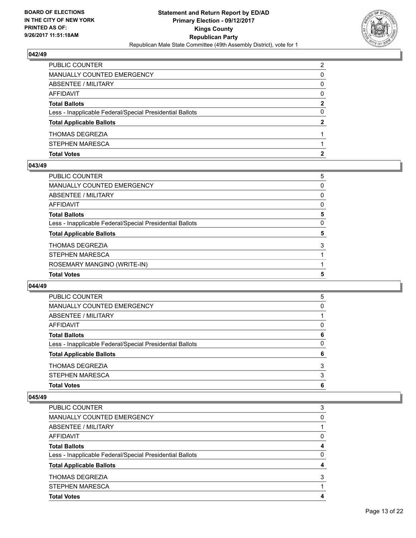

| <b>Total Votes</b>                                       | 2 |
|----------------------------------------------------------|---|
| STEPHEN MARESCA                                          |   |
| <b>THOMAS DEGREZIA</b>                                   |   |
| <b>Total Applicable Ballots</b>                          | 2 |
| Less - Inapplicable Federal/Special Presidential Ballots | 0 |
| <b>Total Ballots</b>                                     | 2 |
| AFFIDAVIT                                                | 0 |
| <b>ABSENTEE / MILITARY</b>                               | 0 |
| MANUALLY COUNTED EMERGENCY                               | 0 |
| PUBLIC COUNTER                                           | 2 |

## **043/49**

| PUBLIC COUNTER                                           | 5 |
|----------------------------------------------------------|---|
| <b>MANUALLY COUNTED EMERGENCY</b>                        | 0 |
| <b>ABSENTEE / MILITARY</b>                               | 0 |
| AFFIDAVIT                                                | 0 |
| <b>Total Ballots</b>                                     | 5 |
| Less - Inapplicable Federal/Special Presidential Ballots | 0 |
| <b>Total Applicable Ballots</b>                          | 5 |
| <b>THOMAS DEGREZIA</b>                                   | 3 |
| <b>STEPHEN MARESCA</b>                                   |   |
| ROSEMARY MANGINO (WRITE-IN)                              |   |
| <b>Total Votes</b>                                       | 5 |

## **044/49**

| <b>PUBLIC COUNTER</b>                                    | 5 |
|----------------------------------------------------------|---|
| MANUALLY COUNTED EMERGENCY                               | 0 |
| ABSENTEE / MILITARY                                      |   |
| AFFIDAVIT                                                | 0 |
| <b>Total Ballots</b>                                     | 6 |
| Less - Inapplicable Federal/Special Presidential Ballots | 0 |
| <b>Total Applicable Ballots</b>                          | 6 |
| <b>THOMAS DEGREZIA</b>                                   | 3 |
| STEPHEN MARESCA                                          | 3 |
| <b>Total Votes</b>                                       | 6 |

| <b>PUBLIC COUNTER</b>                                    | 3 |
|----------------------------------------------------------|---|
| <b>MANUALLY COUNTED EMERGENCY</b>                        | 0 |
| <b>ABSENTEE / MILITARY</b>                               |   |
| <b>AFFIDAVIT</b>                                         | 0 |
| <b>Total Ballots</b>                                     | 4 |
| Less - Inapplicable Federal/Special Presidential Ballots | 0 |
| <b>Total Applicable Ballots</b>                          | 4 |
| <b>THOMAS DEGREZIA</b>                                   | 3 |
| <b>STEPHEN MARESCA</b>                                   |   |
| <b>Total Votes</b>                                       | 4 |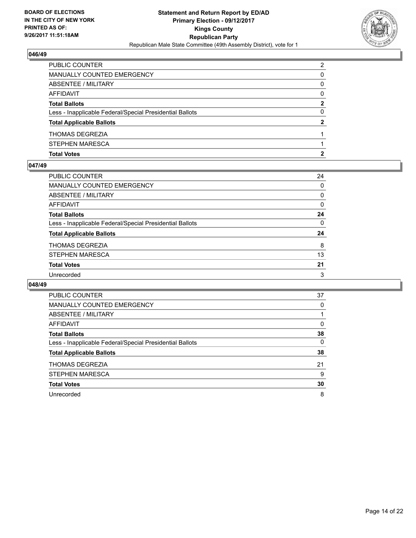

| <b>Total Votes</b>                                       |   |
|----------------------------------------------------------|---|
| STEPHEN MARESCA                                          |   |
| <b>THOMAS DEGREZIA</b>                                   |   |
| <b>Total Applicable Ballots</b>                          | 2 |
| Less - Inapplicable Federal/Special Presidential Ballots | 0 |
| <b>Total Ballots</b>                                     | 2 |
| AFFIDAVIT                                                | 0 |
| <b>ABSENTEE / MILITARY</b>                               | 0 |
| MANUALLY COUNTED EMERGENCY                               | 0 |
| PUBLIC COUNTER                                           | 2 |

## **047/49**

| PUBLIC COUNTER                                           | 24       |
|----------------------------------------------------------|----------|
| <b>MANUALLY COUNTED EMERGENCY</b>                        | $\Omega$ |
| ABSENTEE / MILITARY                                      | 0        |
| <b>AFFIDAVIT</b>                                         | $\Omega$ |
| <b>Total Ballots</b>                                     | 24       |
| Less - Inapplicable Federal/Special Presidential Ballots | $\Omega$ |
| <b>Total Applicable Ballots</b>                          | 24       |
| <b>THOMAS DEGREZIA</b>                                   | 8        |
| <b>STEPHEN MARESCA</b>                                   | 13       |
| <b>Total Votes</b>                                       | 21       |
| Unrecorded                                               | 3        |
|                                                          |          |

| <b>PUBLIC COUNTER</b>                                    | 37 |
|----------------------------------------------------------|----|
| <b>MANUALLY COUNTED EMERGENCY</b>                        | 0  |
| <b>ABSENTEE / MILITARY</b>                               |    |
| AFFIDAVIT                                                | 0  |
| <b>Total Ballots</b>                                     | 38 |
| Less - Inapplicable Federal/Special Presidential Ballots | 0  |
| <b>Total Applicable Ballots</b>                          | 38 |
| THOMAS DEGREZIA                                          | 21 |
| <b>STEPHEN MARESCA</b>                                   | 9  |
| <b>Total Votes</b>                                       | 30 |
| Unrecorded                                               | 8  |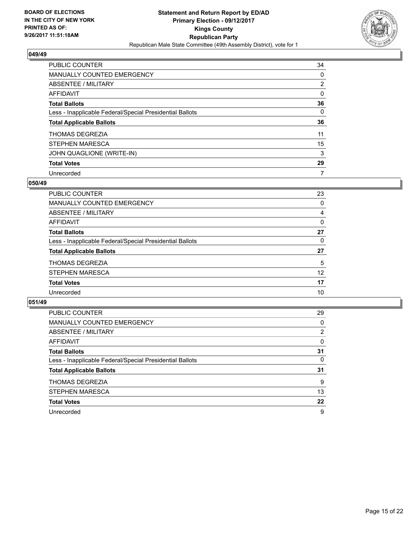

| <b>PUBLIC COUNTER</b>                                    | 34             |
|----------------------------------------------------------|----------------|
| <b>MANUALLY COUNTED EMERGENCY</b>                        | 0              |
| ABSENTEE / MILITARY                                      | $\overline{2}$ |
| AFFIDAVIT                                                | 0              |
| <b>Total Ballots</b>                                     | 36             |
| Less - Inapplicable Federal/Special Presidential Ballots | 0              |
| <b>Total Applicable Ballots</b>                          | 36             |
| <b>THOMAS DEGREZIA</b>                                   | 11             |
| <b>STEPHEN MARESCA</b>                                   | 15             |
| JOHN QUAGLIONE (WRITE-IN)                                | 3              |
| <b>Total Votes</b>                                       | 29             |
| Unrecorded                                               | 7              |

## **050/49**

| PUBLIC COUNTER                                           | 23 |
|----------------------------------------------------------|----|
| MANUALLY COUNTED EMERGENCY                               | 0  |
| ABSENTEE / MILITARY                                      | 4  |
| AFFIDAVIT                                                | 0  |
| <b>Total Ballots</b>                                     | 27 |
| Less - Inapplicable Federal/Special Presidential Ballots | 0  |
| <b>Total Applicable Ballots</b>                          | 27 |
| <b>THOMAS DEGREZIA</b>                                   | 5  |
| STEPHEN MARESCA                                          | 12 |
| <b>Total Votes</b>                                       | 17 |
| Unrecorded                                               | 10 |

| <b>PUBLIC COUNTER</b>                                    | 29 |
|----------------------------------------------------------|----|
| <b>MANUALLY COUNTED EMERGENCY</b>                        | 0  |
| ABSENTEE / MILITARY                                      | 2  |
| AFFIDAVIT                                                | 0  |
| <b>Total Ballots</b>                                     | 31 |
| Less - Inapplicable Federal/Special Presidential Ballots | 0  |
| <b>Total Applicable Ballots</b>                          | 31 |
| <b>THOMAS DEGREZIA</b>                                   | 9  |
| STEPHEN MARESCA                                          | 13 |
| <b>Total Votes</b>                                       | 22 |
| Unrecorded                                               | 9  |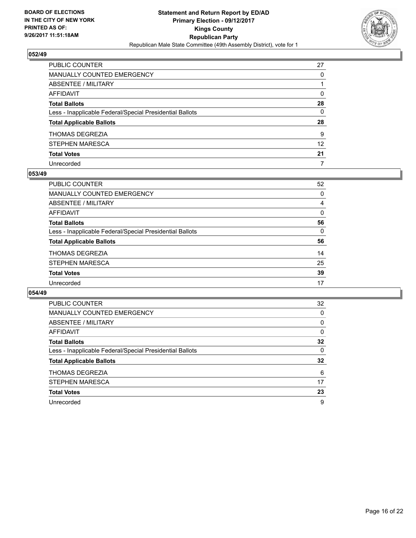

| PUBLIC COUNTER                                           | 27           |
|----------------------------------------------------------|--------------|
| <b>MANUALLY COUNTED EMERGENCY</b>                        | 0            |
| <b>ABSENTEE / MILITARY</b>                               |              |
| AFFIDAVIT                                                | 0            |
| <b>Total Ballots</b>                                     | 28           |
| Less - Inapplicable Federal/Special Presidential Ballots | $\mathbf{0}$ |
| <b>Total Applicable Ballots</b>                          | 28           |
| THOMAS DEGREZIA                                          | 9            |
| STEPHEN MARESCA                                          | 12           |
| <b>Total Votes</b>                                       | 21           |
| Unrecorded                                               | 7            |

## **053/49**

| PUBLIC COUNTER                                           | 52       |
|----------------------------------------------------------|----------|
| <b>MANUALLY COUNTED EMERGENCY</b>                        | 0        |
| ABSENTEE / MILITARY                                      | 4        |
| AFFIDAVIT                                                | 0        |
| <b>Total Ballots</b>                                     | 56       |
| Less - Inapplicable Federal/Special Presidential Ballots | $\Omega$ |
| <b>Total Applicable Ballots</b>                          | 56       |
| <b>THOMAS DEGREZIA</b>                                   | 14       |
| <b>STEPHEN MARESCA</b>                                   | 25       |
| <b>Total Votes</b>                                       | 39       |
| Unrecorded                                               | 17       |

| <b>PUBLIC COUNTER</b>                                    | 32 |
|----------------------------------------------------------|----|
| <b>MANUALLY COUNTED EMERGENCY</b>                        | 0  |
| ABSENTEE / MILITARY                                      | 0  |
| AFFIDAVIT                                                | 0  |
| <b>Total Ballots</b>                                     | 32 |
| Less - Inapplicable Federal/Special Presidential Ballots | 0  |
| <b>Total Applicable Ballots</b>                          | 32 |
| <b>THOMAS DEGREZIA</b>                                   | 6  |
| <b>STEPHEN MARESCA</b>                                   | 17 |
| <b>Total Votes</b>                                       | 23 |
| Unrecorded                                               | 9  |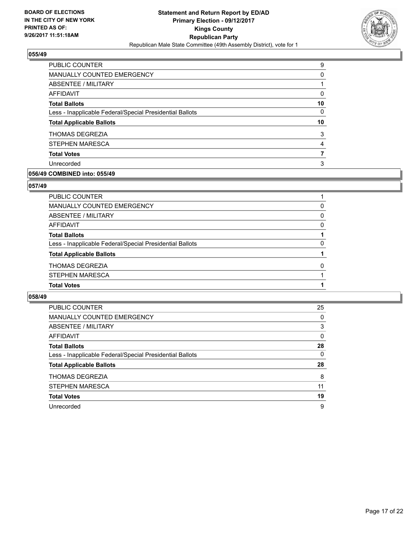

| <b>PUBLIC COUNTER</b>                                    | 9  |
|----------------------------------------------------------|----|
| <b>MANUALLY COUNTED EMERGENCY</b>                        | 0  |
| ABSENTEE / MILITARY                                      |    |
| AFFIDAVIT                                                | 0  |
| <b>Total Ballots</b>                                     | 10 |
| Less - Inapplicable Federal/Special Presidential Ballots | 0  |
| <b>Total Applicable Ballots</b>                          | 10 |
| <b>THOMAS DEGREZIA</b>                                   | 3  |
| STEPHEN MARESCA                                          | 4  |
| <b>Total Votes</b>                                       |    |
| Unrecorded                                               | 3  |
|                                                          |    |

# **056/49 COMBINED into: 055/49**

# **057/49**

| PUBLIC COUNTER                                           |          |
|----------------------------------------------------------|----------|
| MANUALLY COUNTED EMERGENCY                               | 0        |
| ABSENTEE / MILITARY                                      | $\Omega$ |
| AFFIDAVIT                                                | 0        |
| <b>Total Ballots</b>                                     |          |
| Less - Inapplicable Federal/Special Presidential Ballots | 0        |
| <b>Total Applicable Ballots</b>                          |          |
| THOMAS DEGREZIA                                          | 0        |
| STEPHEN MARESCA                                          |          |
| <b>Total Votes</b>                                       |          |
|                                                          |          |

| PUBLIC COUNTER                                           | 25 |
|----------------------------------------------------------|----|
| <b>MANUALLY COUNTED EMERGENCY</b>                        | 0  |
| ABSENTEE / MILITARY                                      | 3  |
| AFFIDAVIT                                                | 0  |
| <b>Total Ballots</b>                                     | 28 |
| Less - Inapplicable Federal/Special Presidential Ballots | 0  |
| <b>Total Applicable Ballots</b>                          | 28 |
| <b>THOMAS DEGREZIA</b>                                   | 8  |
| STEPHEN MARESCA                                          | 11 |
| <b>Total Votes</b>                                       | 19 |
| Unrecorded                                               | 9  |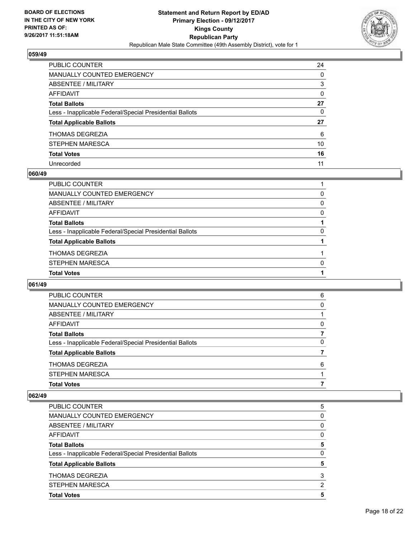

| PUBLIC COUNTER                                           | 24 |
|----------------------------------------------------------|----|
| <b>MANUALLY COUNTED EMERGENCY</b>                        | 0  |
| <b>ABSENTEE / MILITARY</b>                               | 3  |
| <b>AFFIDAVIT</b>                                         | 0  |
| <b>Total Ballots</b>                                     | 27 |
| Less - Inapplicable Federal/Special Presidential Ballots | 0  |
| <b>Total Applicable Ballots</b>                          | 27 |
| THOMAS DEGREZIA                                          | 6  |
| STEPHEN MARESCA                                          | 10 |
| <b>Total Votes</b>                                       | 16 |
| Unrecorded                                               | 11 |

## **060/49**

| PUBLIC COUNTER                                           |          |
|----------------------------------------------------------|----------|
| MANUALLY COUNTED EMERGENCY                               | 0        |
| ABSENTEE / MILITARY                                      | $\Omega$ |
| AFFIDAVIT                                                | $\Omega$ |
| <b>Total Ballots</b>                                     |          |
| Less - Inapplicable Federal/Special Presidential Ballots | 0        |
| <b>Total Applicable Ballots</b>                          |          |
| <b>THOMAS DEGREZIA</b>                                   |          |
| <b>STEPHEN MARESCA</b>                                   | $\Omega$ |
| <b>Total Votes</b>                                       |          |
|                                                          |          |

# **061/49**

| <b>PUBLIC COUNTER</b>                                    | 6 |
|----------------------------------------------------------|---|
| MANUALLY COUNTED EMERGENCY                               | 0 |
| ABSENTEE / MILITARY                                      |   |
| AFFIDAVIT                                                | 0 |
| <b>Total Ballots</b>                                     |   |
| Less - Inapplicable Federal/Special Presidential Ballots | 0 |
| <b>Total Applicable Ballots</b>                          |   |
| <b>THOMAS DEGREZIA</b>                                   | 6 |
| STEPHEN MARESCA                                          |   |
| <b>Total Votes</b>                                       |   |

| <b>Total Votes</b>                                       | 5        |
|----------------------------------------------------------|----------|
| <b>STEPHEN MARESCA</b>                                   | 2        |
| <b>THOMAS DEGREZIA</b>                                   | 3        |
| <b>Total Applicable Ballots</b>                          | 5        |
| Less - Inapplicable Federal/Special Presidential Ballots | 0        |
| <b>Total Ballots</b>                                     | 5        |
| <b>AFFIDAVIT</b>                                         | 0        |
| ABSENTEE / MILITARY                                      | $\Omega$ |
| <b>MANUALLY COUNTED EMERGENCY</b>                        | 0        |
| <b>PUBLIC COUNTER</b>                                    | 5        |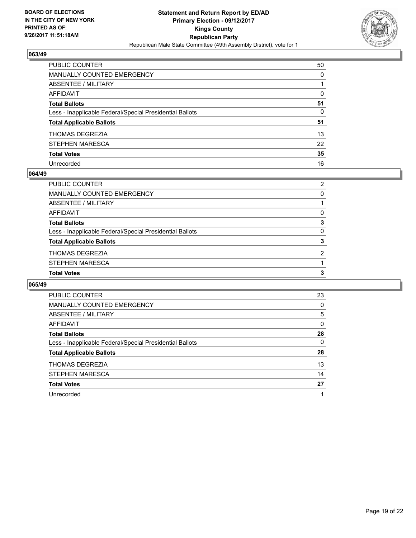

| PUBLIC COUNTER                                           | 50 |
|----------------------------------------------------------|----|
| <b>MANUALLY COUNTED EMERGENCY</b>                        | 0  |
| <b>ABSENTEE / MILITARY</b>                               |    |
| <b>AFFIDAVIT</b>                                         | 0  |
| <b>Total Ballots</b>                                     | 51 |
| Less - Inapplicable Federal/Special Presidential Ballots | 0  |
| <b>Total Applicable Ballots</b>                          | 51 |
| THOMAS DEGREZIA                                          | 13 |
| <b>STEPHEN MARESCA</b>                                   | 22 |
| <b>Total Votes</b>                                       | 35 |
| Unrecorded                                               | 16 |

## **064/49**

| <b>Total Votes</b>                                       | 3 |
|----------------------------------------------------------|---|
| <b>STEPHEN MARESCA</b>                                   |   |
| <b>THOMAS DEGREZIA</b>                                   | 2 |
| <b>Total Applicable Ballots</b>                          | 3 |
| Less - Inapplicable Federal/Special Presidential Ballots | 0 |
| <b>Total Ballots</b>                                     | 3 |
| AFFIDAVIT                                                | 0 |
| ABSENTEE / MILITARY                                      |   |
| MANUALLY COUNTED EMERGENCY                               | 0 |
| PUBLIC COUNTER                                           | 2 |

| PUBLIC COUNTER                                           | 23 |
|----------------------------------------------------------|----|
| <b>MANUALLY COUNTED EMERGENCY</b>                        | 0  |
| ABSENTEE / MILITARY                                      | 5  |
| AFFIDAVIT                                                | 0  |
| <b>Total Ballots</b>                                     | 28 |
| Less - Inapplicable Federal/Special Presidential Ballots | 0  |
| <b>Total Applicable Ballots</b>                          | 28 |
| THOMAS DEGREZIA                                          | 13 |
| <b>STEPHEN MARESCA</b>                                   | 14 |
| <b>Total Votes</b>                                       | 27 |
| Unrecorded                                               |    |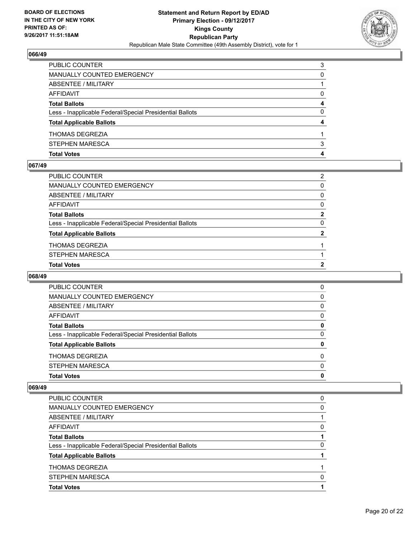

| <b>Total Votes</b>                                       |   |
|----------------------------------------------------------|---|
| STEPHEN MARESCA                                          | 3 |
| <b>THOMAS DEGREZIA</b>                                   |   |
| <b>Total Applicable Ballots</b>                          |   |
| Less - Inapplicable Federal/Special Presidential Ballots | 0 |
| <b>Total Ballots</b>                                     | 4 |
| AFFIDAVIT                                                | 0 |
| ABSENTEE / MILITARY                                      |   |
| MANUALLY COUNTED EMERGENCY                               | 0 |
| PUBLIC COUNTER                                           | 3 |

## **067/49**

| PUBLIC COUNTER                                           | $\overline{2}$ |
|----------------------------------------------------------|----------------|
| MANUALLY COUNTED EMERGENCY                               | 0              |
| ABSENTEE / MILITARY                                      | $\mathbf{0}$   |
| AFFIDAVIT                                                | 0              |
| <b>Total Ballots</b>                                     | $\mathbf{2}$   |
| Less - Inapplicable Federal/Special Presidential Ballots | $\mathbf{0}$   |
| <b>Total Applicable Ballots</b>                          | $\mathbf{2}$   |
| THOMAS DEGREZIA                                          |                |
| STEPHEN MARESCA                                          |                |
| <b>Total Votes</b>                                       | 2              |
|                                                          |                |

# **068/49**

| <b>Total Votes</b>                                       | 0        |
|----------------------------------------------------------|----------|
| STEPHEN MARESCA                                          | $\Omega$ |
| <b>THOMAS DEGREZIA</b>                                   | $\Omega$ |
| <b>Total Applicable Ballots</b>                          | 0        |
| Less - Inapplicable Federal/Special Presidential Ballots | 0        |
| <b>Total Ballots</b>                                     | 0        |
| AFFIDAVIT                                                | 0        |
| ABSENTEE / MILITARY                                      | 0        |
| MANUALLY COUNTED EMERGENCY                               | 0        |
| <b>PUBLIC COUNTER</b>                                    | 0        |

| PUBLIC COUNTER                                           | 0 |
|----------------------------------------------------------|---|
| MANUALLY COUNTED EMERGENCY                               | 0 |
| ABSENTEE / MILITARY                                      |   |
| AFFIDAVIT                                                | 0 |
| <b>Total Ballots</b>                                     |   |
| Less - Inapplicable Federal/Special Presidential Ballots | 0 |
| <b>Total Applicable Ballots</b>                          |   |
| <b>THOMAS DEGREZIA</b>                                   |   |
| <b>STEPHEN MARESCA</b>                                   | 0 |
| <b>Total Votes</b>                                       |   |
|                                                          |   |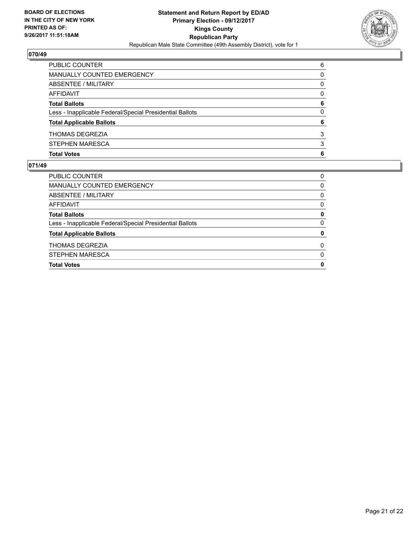

| <b>PUBLIC COUNTER</b>                                    | 6 |
|----------------------------------------------------------|---|
| MANUALLY COUNTED EMERGENCY                               | 0 |
| ABSENTEE / MILITARY                                      | 0 |
| AFFIDAVIT                                                | 0 |
| <b>Total Ballots</b>                                     | 6 |
| Less - Inapplicable Federal/Special Presidential Ballots | 0 |
| <b>Total Applicable Ballots</b>                          | 6 |
| <b>THOMAS DEGREZIA</b>                                   | 3 |
| STEPHEN MARESCA                                          | 3 |
| <b>Total Votes</b>                                       | 6 |

| <b>Total Votes</b>                                       | 0        |
|----------------------------------------------------------|----------|
| <b>STEPHEN MARESCA</b>                                   | $\Omega$ |
| <b>THOMAS DEGREZIA</b>                                   | $\Omega$ |
| <b>Total Applicable Ballots</b>                          | 0        |
| Less - Inapplicable Federal/Special Presidential Ballots | 0        |
| <b>Total Ballots</b>                                     | 0        |
| AFFIDAVIT                                                | 0        |
| ABSENTEE / MILITARY                                      | 0        |
| MANUALLY COUNTED EMERGENCY                               | 0        |
| <b>PUBLIC COUNTER</b>                                    | 0        |